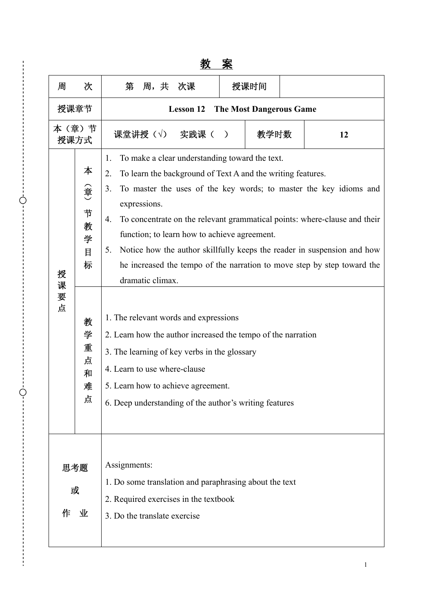|                    |                                                                                |                                                                                                                                                                                                                                                                                                                                                                                                                                                                                                                                                                                                                                                                                                                                                                                                                                  |                              | <u> эд</u>                                                                                      | <u>⁄∿</u> |      |  |    |
|--------------------|--------------------------------------------------------------------------------|----------------------------------------------------------------------------------------------------------------------------------------------------------------------------------------------------------------------------------------------------------------------------------------------------------------------------------------------------------------------------------------------------------------------------------------------------------------------------------------------------------------------------------------------------------------------------------------------------------------------------------------------------------------------------------------------------------------------------------------------------------------------------------------------------------------------------------|------------------------------|-------------------------------------------------------------------------------------------------|-----------|------|--|----|
| 周                  | 次                                                                              | 第                                                                                                                                                                                                                                                                                                                                                                                                                                                                                                                                                                                                                                                                                                                                                                                                                                | 周,共                          | 次课                                                                                              |           | 授课时间 |  |    |
| 授课章节               |                                                                                | <b>The Most Dangerous Game</b><br><b>Lesson 12</b>                                                                                                                                                                                                                                                                                                                                                                                                                                                                                                                                                                                                                                                                                                                                                                               |                              |                                                                                                 |           |      |  |    |
| 本(章)节<br>授课方式      |                                                                                |                                                                                                                                                                                                                                                                                                                                                                                                                                                                                                                                                                                                                                                                                                                                                                                                                                  |                              | 课堂讲授(√) 实践课()                                                                                   |           | 教学时数 |  | 12 |
| 授<br>课<br>要<br>点   | 本<br>(章)<br>节<br>教<br>学<br>$\mathbf H$<br>标<br>教<br>学<br>重<br>点<br>和<br>难<br>点 | To make a clear understanding toward the text.<br>1.<br>To learn the background of Text A and the writing features.<br>2.<br>To master the uses of the key words; to master the key idioms and<br>3.<br>expressions.<br>To concentrate on the relevant grammatical points: where-clause and their<br>4.<br>function; to learn how to achieve agreement.<br>Notice how the author skillfully keeps the reader in suspension and how<br>5.<br>he increased the tempo of the narration to move step by step toward the<br>dramatic climax.<br>1. The relevant words and expressions<br>2. Learn how the author increased the tempo of the narration<br>3. The learning of key verbs in the glossary<br>4. Learn to use where-clause<br>5. Learn how to achieve agreement.<br>6. Deep understanding of the author's writing features |                              |                                                                                                 |           |      |  |    |
| 思考题<br>或<br>业<br>作 |                                                                                | Assignments:                                                                                                                                                                                                                                                                                                                                                                                                                                                                                                                                                                                                                                                                                                                                                                                                                     | 3. Do the translate exercise | 1. Do some translation and paraphrasing about the text<br>2. Required exercises in the textbook |           |      |  |    |

Ò

 $\dot{\varphi}$ 

# 教 案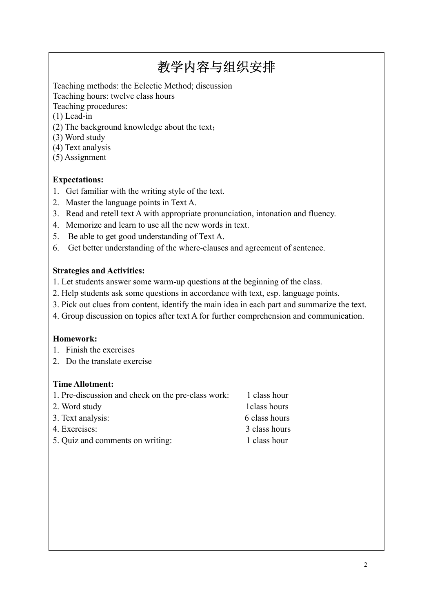Teaching methods: the Eclectic Method; discussion Teaching hours: twelve class hours

Teaching procedures:

(1) Lead-in

- (2) The background knowledge about the text;
- (3) Word study
- (4) Text analysis
- (5) Assignment

## **Expectations:**

- 1. Get familiar with the writing style of the text.
- 2. Master the language points in Text A.
- 3. Read and retell text A with appropriate pronunciation, intonation and fluency.
- 4. Memorize and learn to use all the new words in text.
- 5. Be able to get good understanding of Text A.
- 6. Get better understanding of the where-clauses and agreement of sentence.

#### **Strategies and Activities:**

- 1. Let students answer some warm-up questions at the beginning of the class.
- 2. Help students ask some questions in accordance with text, esp. language points.
- 3. Pick out clues from content, identify the main idea in each part and summarize the text.
- 4. Group discussion on topics after text A for further comprehension and communication.

## **Homework:**

- 1. Finish the exercises
- 2. Do the translate exercise

#### **Time Allotment:**

| 1. Pre-discussion and check on the pre-class work: | 1 class hour  |
|----------------------------------------------------|---------------|
| 2. Word study                                      | 1 class hours |
| 3. Text analysis:                                  | 6 class hours |
| 4. Exercises:                                      | 3 class hours |
| 5. Quiz and comments on writing:                   | 1 class hour  |
|                                                    |               |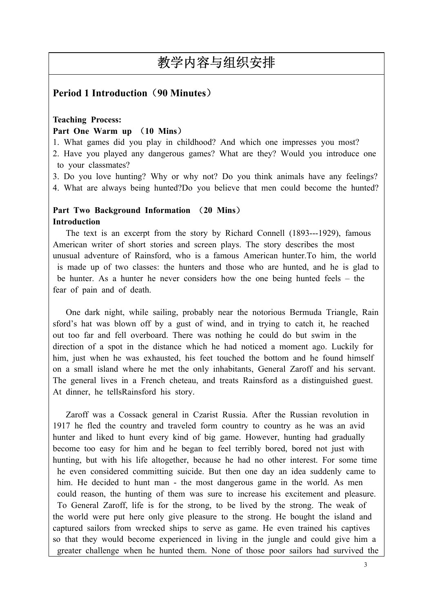## **Period 1 Introduction**(**90 Minutes**)

#### **Teaching Process: Part One Warm up** (**10 Mins**)

1. What games did you play in childhood? And which one impresses you most?

2. Have you played any dangerous games? What are they? Would you introduce one to your classmates?

3. Do you love hunting? Why or why not? Do you think animals have any feelings?

4. What are always being hunted?Do you believe that men could become the hunted?

## **Part Two Background Information** (**20 Mins**) **Introduction**

The text is an excerpt from the story by Richard Connell (1893---1929), famous American writer of short stories and screen plays. The story describes the most unusual adventure of Rainsford, who is a famous American hunter.To him, the world is made up of two classes: the hunters and those who are hunted, and he is glad to be hunter. As a hunter he never considers how the one being hunted feels – the fear of pain and of death.

One dark night, while sailing, probably near the notorious Bermuda Triangle, Rain sford's hat was blown off by a gust of wind, and in trying to catch it, he reached out too far and fell overboard. There was nothing he could do but swim in the direction of a spot in the distance which he had noticed a moment ago. Luckily for him, just when he was exhausted, his feet touched the bottom and he found himself on a small island where he met the only inhabitants, General Zaroff and his servant. The general lives in a French cheteau, and treats Rainsford as a distinguished guest. At dinner, he tellsRainsford his story.

Zaroff was a Cossack general in Czarist Russia. After the Russian revolution in 1917 he fled the country and traveled form country to country as he was an avid hunter and liked to hunt every kind of big game. However, hunting had gradually become too easy for him and he began to feel terribly bored, bored not just with hunting, but with his life altogether, because he had no other interest. For some time he even considered committing suicide. But then one day an idea suddenly came to him. He decided to hunt man - the most dangerous game in the world. As men could reason, the hunting of them was sure to increase his excitement and pleasure. To General Zaroff, life is for the strong, to be lived by the strong. The weak of the world were put here only give pleasure to the strong. He bought the island and captured sailors from wrecked ships to serve as game. He even trained his captives so that they would become experienced in living in the jungle and could give him a greater challenge when he hunted them. None of those poor sailors had survived the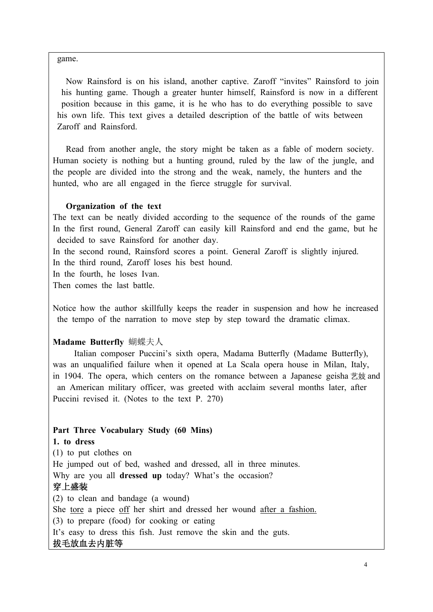game.

Now Rainsford is on his island, another captive. Zaroff "invites" Rainsford to join his hunting game. Though a greater hunter himself, Rainsford is now in a different position because in this game, it is he who has to do everything possible to save his own life. This text gives a detailed description of the battle of wits between Zaroff and Rainsford.

Read from another angle, the story might be taken as a fable of modern society. Human society is nothing but a hunting ground, ruled by the law of the jungle, and the people are divided into the strong and the weak, namely, the hunters and the hunted, who are all engaged in the fierce struggle for survival.

## **Organization of the text**

The text can be neatly divided according to the sequence of the rounds of the game In the first round, General Zaroff can easily kill Rainsford and end the game, but he decided to save Rainsford for another day.

In the second round, Rainsford scores a point. General Zaroff is slightly injured. In the third round, Zaroff loses his best hound.

In the fourth, he loses Ivan.

Then comes the last battle.

Notice how the author skillfully keeps the reader in suspension and how he increased the tempo of the narration to move step by step toward the dramatic climax.

## **Madame Butterfly** 蝴蝶夫人

Italian composer Puccini's sixth opera, Madama Butterfly (Madame Butterfly), was an unqualified failure when it opened at La Scala opera house in Milan, Italy, in 1904. The opera, which centers on the romance between a Japanese geisha 艺妓 and an American military officer, was greeted with acclaim several months later, after Puccini revised it. (Notes to the text P. 270)

## **Part Three Vocabulary Study (60 Mins)**

## **1. to dress**

(1) to put clothes on He jumped out of bed, washed and dressed, all in three minutes. Why are you all **dressed up** today? What's the occasion? 穿上盛装 (2) to clean and bandage (a wound) She tore a piece off her shirt and dressed her wound after a fashion. (3) to prepare (food) for cooking or eating It's easy to dress this fish. Just remove the skin and the guts. 拔毛放血去内脏等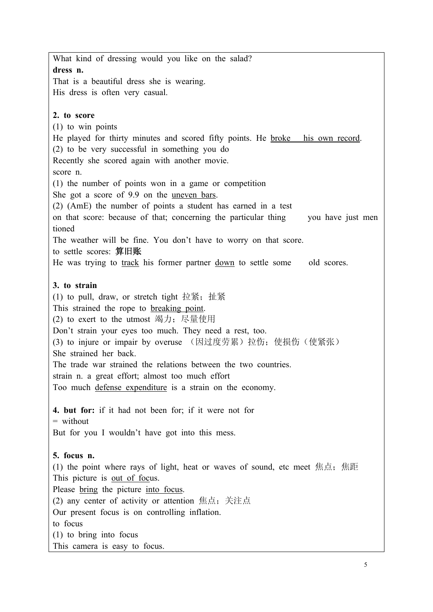What kind of dressing would you like on the salad? **dress n.**  That is a beautiful dress she is wearing. His dress is often very casual. **2. to score**  (1) to win points He played for thirty minutes and scored fifty points. He broke his own record. (2) to be very successful in something you do Recently she scored again with another movie. score n. (1) the number of points won in a game or competition She got a score of 9.9 on the uneven bars. (2) (AmE) the number of points a student has earned in a test on that score: because of that; concerning the particular thing you have just men tioned The weather will be fine. You don't have to worry on that score. to settle scores: 算旧账 He was trying to track his former partner down to settle some old scores. **3. to strain** (1) to pull, draw, or stretch tight 拉紧; 扯紧 This strained the rope to breaking point. (2) to exert to the utmost 竭力;尽量使用 Don't strain your eyes too much. They need a rest, too. (3) to injure or impair by overuse (因过度劳累) 拉伤; 使损伤(使紧张) She strained her back. The trade war strained the relations between the two countries. strain n. a great effort; almost too much effort Too much defense expenditure is a strain on the economy. **4. but for:** if it had not been for; if it were not for  $=$  without But for you I wouldn't have got into this mess. **5. focus n.**  (1) the point where rays of light, heat or waves of sound, etc meet 焦点; 焦距 This picture is out of focus. Please bring the picture into focus. (2) any center of activity or attention 焦点;关注点 Our present focus is on controlling inflation. to focus (1) to bring into focus This camera is easy to focus.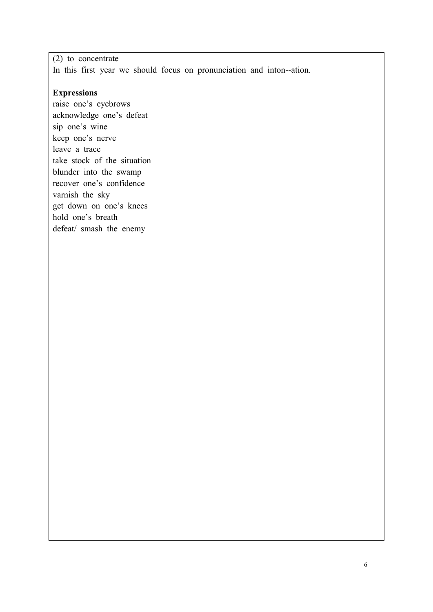(2) to concentrate In this first year we should focus on pronunciation and inton--ation.

## **Expressions**

raise one's eyebrows acknowledge one's defeat sip one's wine keep one's nerve leave a trace take stock of the situation blunder into the swamp recover one's confidence varnish the sky get down on one's knees hold one's breath defeat/ smash the enemy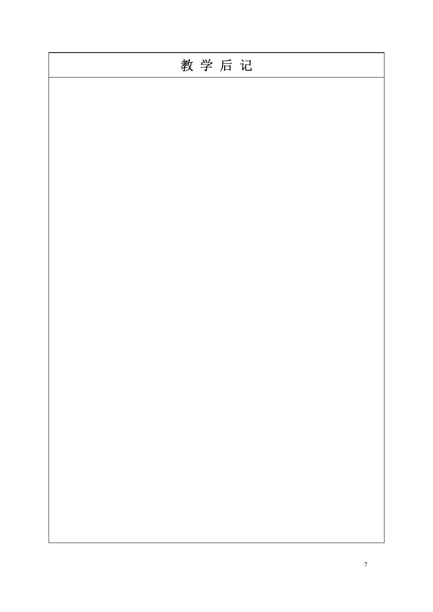| 教学后记 |
|------|
|      |
|      |
|      |
|      |
|      |
|      |
|      |
|      |
|      |
|      |
|      |
|      |
|      |
|      |
|      |
|      |
|      |
|      |
|      |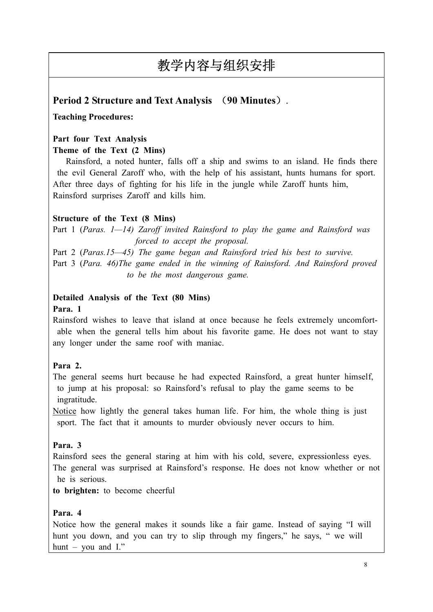# **Period 2 Structure and Text Analysis** (**90 Minutes**).

## **Teaching Procedures:**

## **Part four Text Analysis**

## **Theme of the Text (2 Mins)**

Rainsford, a noted hunter, falls off a ship and swims to an island. He finds there the evil General Zaroff who, with the help of his assistant, hunts humans for sport. After three days of fighting for his life in the jungle while Zaroff hunts him, Rainsford surprises Zaroff and kills him.

## **Structure of the Text (8 Mins)**

Part 1 (*Paras. 1—14) Zaroff invited Rainsford to play the game and Rainsford was forced to accept the proposal.*

Part 2 (*Paras.15—45) The game began and Rainsford tried his best to survive.*  Part 3 (*Para. 46)The game ended in the winning of Rainsford. And Rainsford proved to be the most dangerous game.* 

# **Detailed Analysis of the Text (80 Mins)**

## **Para. 1**

Rainsford wishes to leave that island at once because he feels extremely uncomfort able when the general tells him about his favorite game. He does not want to stay any longer under the same roof with maniac.

## **Para 2.**

The general seems hurt because he had expected Rainsford, a great hunter himself, to jump at his proposal: so Rainsford's refusal to play the game seems to be ingratitude.

Notice how lightly the general takes human life. For him, the whole thing is just sport. The fact that it amounts to murder obviously never occurs to him.

## **Para. 3**

Rainsford sees the general staring at him with his cold, severe, expressionless eyes. The general was surprised at Rainsford's response. He does not know whether or not he is serious.

**to brighten:** to become cheerful

## **Para. 4**

Notice how the general makes it sounds like a fair game. Instead of saying "I will hunt you down, and you can try to slip through my fingers," he says, " we will hunt – you and I."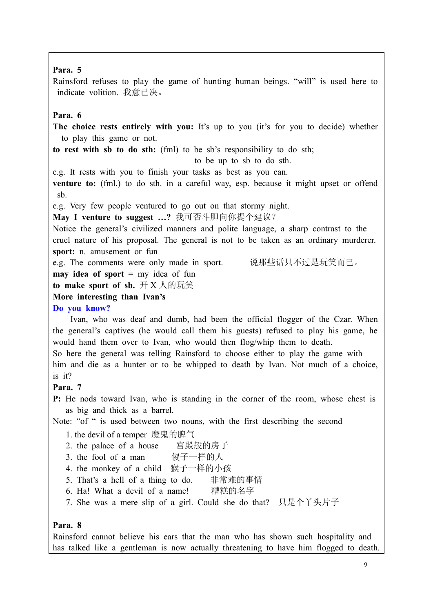#### **Para. 5**

Rainsford refuses to play the game of hunting human beings. "will" is used here to indicate volition. 我意已决。

#### **Para. 6**

**The choice rests entirely with you:** It's up to you (it's for you to decide) whether to play this game or not.

**to rest with sb to do sth:** (fml) to be sb's responsibility to do sth;

to be up to sb to do sth.

e.g. It rests with you to finish your tasks as best as you can.

**venture to:** (fml.) to do sth. in a careful way, esp. because it might upset or offend sb.

e.g. Very few people ventured to go out on that stormy night.

**May I venture to suggest …?** 我可否斗胆向你提个建议?

Notice the general's civilized manners and polite language, a sharp contrast to the cruel nature of his proposal. The general is not to be taken as an ordinary murderer. **sport:** n. amusement or fun

e.g. The comments were only made in sport. 说那些话只不过是玩笑而已。

**may idea of sport** = my idea of fun

**to make sport of sb.** 开 X 人的玩笑

**More interesting than Ivan's** 

**Do you know?**

 Ivan, who was deaf and dumb, had been the official flogger of the Czar. When the general's captives (he would call them his guests) refused to play his game, he would hand them over to Ivan, who would then flog/whip them to death.

So here the general was telling Rainsford to choose either to play the game with him and die as a hunter or to be whipped to death by Ivan. Not much of a choice, is it?

## **Para. 7**

**P:** He nods toward Ivan, who is standing in the corner of the room, whose chest is as big and thick as a barrel.

Note: "of " is used between two nouns, with the first describing the second

- 1. the devil of a temper 魔鬼的脾气
- 2. the palace of a house 宫殿般的房子
- 3. the fool of a man 傻子一样的人
- 4. the monkey of a child 猴子一样的小孩
- 5. That's a hell of a thing to do. 非常难的事情
- 6. Ha! What a devil of a name! 糟糕的名字
- 7. She was a mere slip of a girl. Could she do that? 只是个丫头片子

#### **Para. 8**

Rainsford cannot believe his ears that the man who has shown such hospitality and has talked like a gentleman is now actually threatening to have him flogged to death.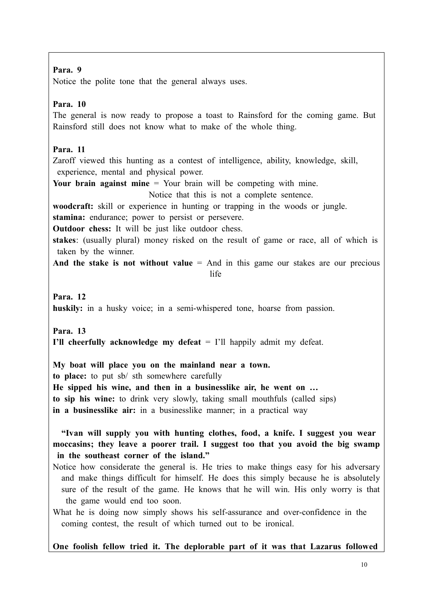#### **Para. 9**

Notice the polite tone that the general always uses.

## **Para. 10**

The general is now ready to propose a toast to Rainsford for the coming game. But Rainsford still does not know what to make of the whole thing.

## **Para. 11**

Zaroff viewed this hunting as a contest of intelligence, ability, knowledge, skill, experience, mental and physical power.

**Your brain against mine** = Your brain will be competing with mine.

Notice that this is not a complete sentence.

**woodcraft:** skill or experience in hunting or trapping in the woods or jungle.

**stamina:** endurance; power to persist or persevere.

**Outdoor chess:** It will be just like outdoor chess.

**stakes**: (usually plural) money risked on the result of game or race, all of which is taken by the winner.

And the stake is not without value = And in this game our stakes are our precious **life** the state of the state of the state of the state of the state of the state of the state of the state of the state of the state of the state of the state of the state of the state of the state of the state of the sta

**Para. 12 huskily:** in a husky voice; in a semi-whispered tone, hoarse from passion.

**Para. 13 I'll cheerfully acknowledge my defeat** = I'll happily admit my defeat.

**My boat will place you on the mainland near a town. to place:** to put sb/ sth somewhere carefully **He sipped his wine, and then in a businesslike air, he went on … to sip his wine:** to drink very slowly, taking small mouthfuls (called sips) **in a businesslike air:** in a businesslike manner; in a practical way

**"Ivan will supply you with hunting clothes, food, a knife. I suggest you wear moccasins; they leave a poorer trail. I suggest too that you avoid the big swamp in the southeast corner of the island."** 

Notice how considerate the general is. He tries to make things easy for his adversary and make things difficult for himself. He does this simply because he is absolutely sure of the result of the game. He knows that he will win. His only worry is that the game would end too soon.

What he is doing now simply shows his self-assurance and over-confidence in the coming contest, the result of which turned out to be ironical.

**One foolish fellow tried it. The deplorable part of it was that Lazarus followed**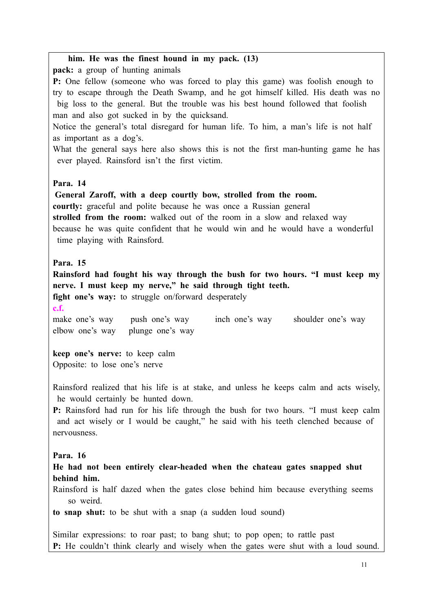**him. He was the finest hound in my pack. (13) pack:** a group of hunting animals **P:** One fellow (someone who was forced to play this game) was foolish enough to try to escape through the Death Swamp, and he got himself killed. His death was no big loss to the general. But the trouble was his best hound followed that foolish man and also got sucked in by the quicksand. Notice the general's total disregard for human life. To him, a man's life is not half as important as a dog's. What the general says here also shows this is not the first man-hunting game he has ever played. Rainsford isn't the first victim. **Para. 14 General Zaroff, with a deep courtly bow, strolled from the room. courtly:** graceful and polite because he was once a Russian general **strolled from the room:** walked out of the room in a slow and relaxed way because he was quite confident that he would win and he would have a wonderful time playing with Rainsford. **Para. 15 Rainsford had fought his way through the bush for two hours. "I must keep my nerve. I must keep my nerve," he said through tight teeth. fight one's way:** to struggle on/forward desperately **c.f.**  make one's way push one's way inch one's way shoulder one's way elbow one's way plunge one's way **keep one's nerve:** to keep calm Opposite: to lose one's nerve Rainsford realized that his life is at stake, and unless he keeps calm and acts wisely, he would certainly be hunted down. **P:** Rainsford had run for his life through the bush for two hours. "I must keep calm and act wisely or I would be caught," he said with his teeth clenched because of nervousness. **Para. 16 He had not been entirely clear-headed when the chateau gates snapped shut behind him.**  Rainsford is half dazed when the gates close behind him because everything seems so weird. **to snap shut:** to be shut with a snap (a sudden loud sound) Similar expressions: to roar past; to bang shut; to pop open; to rattle past **P:** He couldn't think clearly and wisely when the gates were shut with a loud sound.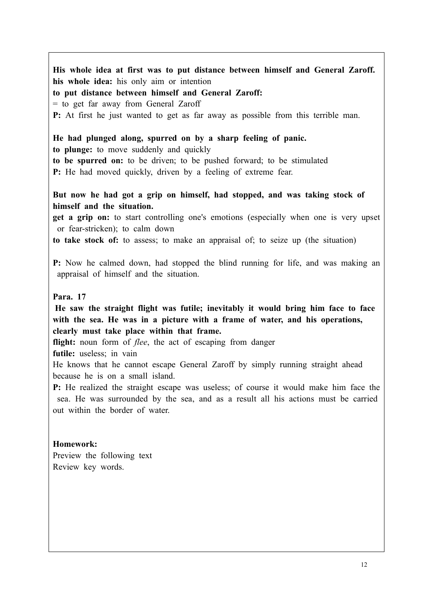**His whole idea at first was to put distance between himself and General Zaroff. his whole idea:** his only aim or intention **to put distance between himself and General Zaroff:**  = to get far away from General Zaroff **P:** At first he just wanted to get as far away as possible from this terrible man. **He had plunged along, spurred on by a sharp feeling of panic. to plunge:** to move suddenly and quickly **to be spurred on:** to be driven; to be pushed forward; to be stimulated **P:** He had moved quickly, driven by a feeling of extreme fear. **But now he had got a grip on himself, had stopped, and was taking stock of himself and the situation. get a grip on:** to start controlling one's emotions (especially when one is very upset or fear-stricken); to calm down **to take stock of:** to assess; to make an appraisal of; to seize up (the situation) **P:** Now he calmed down, had stopped the blind running for life, and was making an appraisal of himself and the situation. **Para. 17 He saw the straight flight was futile; inevitably it would bring him face to face with the sea. He was in a picture with a frame of water, and his operations, clearly must take place within that frame.**  flight: noun form of *flee*, the act of escaping from danger **futile:** useless; in vain He knows that he cannot escape General Zaroff by simply running straight ahead because he is on a small island. **P:** He realized the straight escape was useless; of course it would make him face the sea. He was surrounded by the sea, and as a result all his actions must be carried out within the border of water. **Homework:**  Preview the following text Review key words.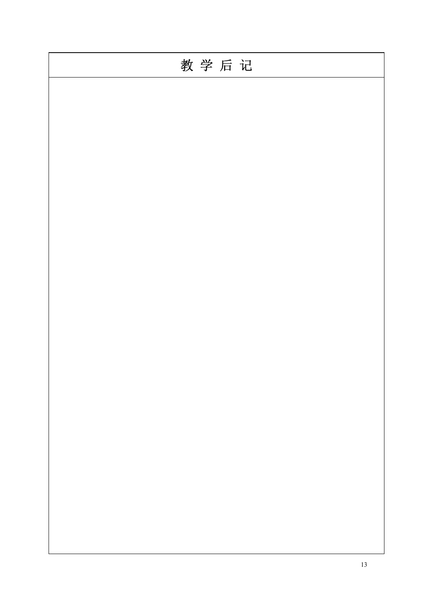| 教学后记 |  |  |
|------|--|--|
|      |  |  |
|      |  |  |
|      |  |  |
|      |  |  |
|      |  |  |
|      |  |  |
|      |  |  |
|      |  |  |
|      |  |  |
|      |  |  |
|      |  |  |
|      |  |  |
|      |  |  |
|      |  |  |
|      |  |  |
|      |  |  |
|      |  |  |
|      |  |  |
|      |  |  |
|      |  |  |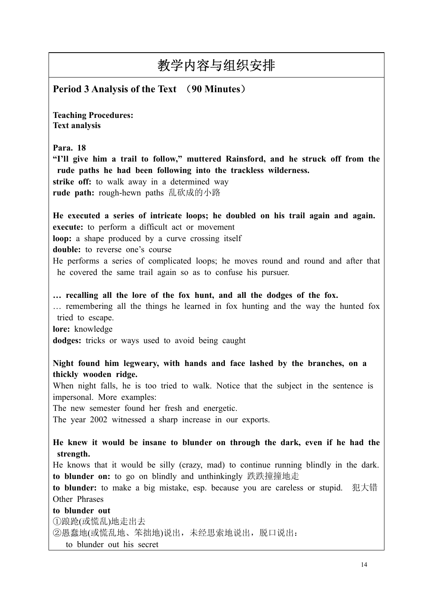**Period 3 Analysis of the Text** (**90 Minutes**)

**Teaching Procedures: Text analysis** 

**Para. 18**

**"I'll give him a trail to follow," muttered Rainsford, and he struck off from the rude paths he had been following into the trackless wilderness. strike off:** to walk away in a determined way

**rude path:** rough-hewn paths 乱砍成的小路

**He executed a series of intricate loops; he doubled on his trail again and again. execute:** to perform a difficult act or movement

**loop:** a shape produced by a curve crossing itself

**double:** to reverse one's course

He performs a series of complicated loops; he moves round and round and after that he covered the same trail again so as to confuse his pursuer.

**… recalling all the lore of the fox hunt, and all the dodges of the fox.** 

… remembering all the things he learned in fox hunting and the way the hunted fox tried to escape.

**lore:** knowledge

**dodges:** tricks or ways used to avoid being caught

**Night found him legweary, with hands and face lashed by the branches, on a thickly wooden ridge.** 

When night falls, he is too tried to walk. Notice that the subject in the sentence is impersonal. More examples:

The new semester found her fresh and energetic.

The year 2002 witnessed a sharp increase in our exports.

**He knew it would be insane to blunder on through the dark, even if he had the strength.** 

He knows that it would be silly (crazy, mad) to continue running blindly in the dark. **to blunder on:** to go on blindly and unthinkingly 跌跌撞撞地走

**to blunder:** to make a big mistake, esp. because you are careless or stupid. 犯大错 Other Phrases

**to blunder out**  ①踉跄(或慌乱)地走出去 ②愚蠢地(或慌乱地、笨拙地)说出,未经思索地说出,脱口说出: to blunder out his secret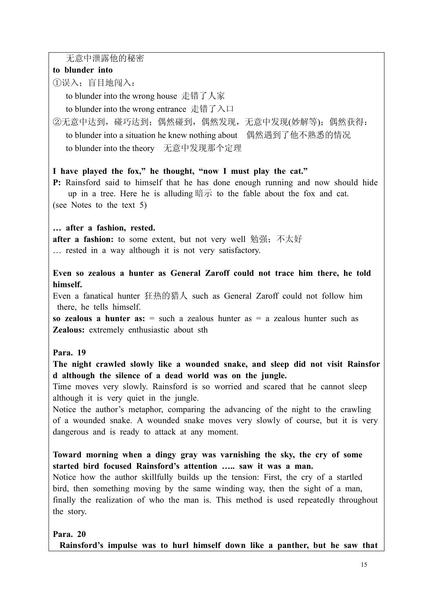无意中泄露他的秘密

## **to blunder into**

①误入;盲目地闯入:

to blunder into the wrong house 走错了人家

to blunder into the wrong entrance 走错了入口

②无意中达到, 碰巧达到; 偶然碰到, 偶然发现, 无意中发现(妙解等); 偶然获得: to blunder into a situation he knew nothing about 偶然遇到了他不熟悉的情况 to blunder into the theory 无意中发现那个定理

## **I have played the fox," he thought, "now I must play the cat."**

**P:** Rainsford said to himself that he has done enough running and now should hide up in a tree. Here he is alluding 暗示 to the fable about the fox and cat. (see Notes to the text 5)

## **… after a fashion, rested.**

**after a fashion:** to some extent, but not very well 勉强;不太好 … rested in a way although it is not very satisfactory.

## **Even so zealous a hunter as General Zaroff could not trace him there, he told himself.**

Even a fanatical hunter 狂热的猎人 such as General Zaroff could not follow him there, he tells himself.

**so zealous a hunter as:** = such a zealous hunter as = a zealous hunter such as **Zealous:** extremely enthusiastic about sth

## **Para. 19**

**The night crawled slowly like a wounded snake, and sleep did not visit Rainsfor d although the silence of a dead world was on the jungle.** 

Time moves very slowly. Rainsford is so worried and scared that he cannot sleep although it is very quiet in the jungle.

Notice the author's metaphor, comparing the advancing of the night to the crawling of a wounded snake. A wounded snake moves very slowly of course, but it is very dangerous and is ready to attack at any moment.

**Toward morning when a dingy gray was varnishing the sky, the cry of some started bird focused Rainsford's attention ….. saw it was a man.** 

Notice how the author skillfully builds up the tension: First, the cry of a startled bird, then something moving by the same winding way, then the sight of a man, finally the realization of who the man is. This method is used repeatedly throughout the story.

## **Para. 20**

**Rainsford's impulse was to hurl himself down like a panther, but he saw that**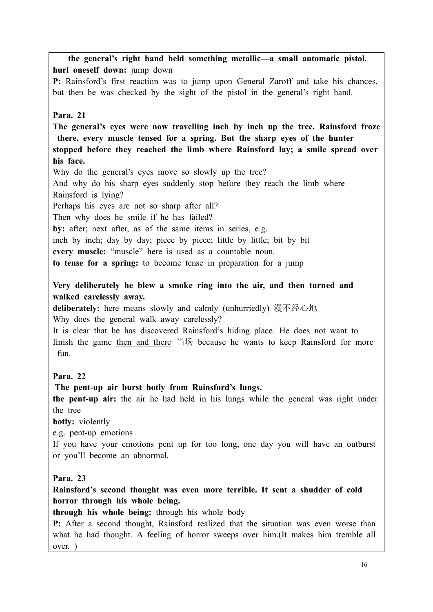**the general's right hand held something metallic—a small automatic pistol. hurl oneself down:** jump down **P:** Rainsford's first reaction was to jump upon General Zaroff and take his chances, but then he was checked by the sight of the pistol in the general's right hand. **Para. 21 The general's eyes were now travelling inch by inch up the tree. Rainsford froze there, every muscle tensed for a spring. But the sharp eyes of the hunter stopped before they reached the limb where Rainsford lay; a smile spread over his face.**  Why do the general's eyes move so slowly up the tree? And why do his sharp eyes suddenly stop before they reach the limb where Rainsford is lying? Perhaps his eyes are not so sharp after all? Then why does he smile if he has failed? by: after; next after, as of the same items in series, e.g. inch by inch; day by day; piece by piece; little by little; bit by bit **every muscle:** "muscle" here is used as a countable noun. **to tense for a spring:** to become tense in preparation for a jump **Very deliberately he blew a smoke ring into the air, and then turned and walked carelessly away. deliberately:** here means slowly and calmly (unhurriedly) 漫不经心地 Why does the general walk away carelessly? It is clear that he has discovered Rainsford's hiding place. He does not want to finish the game then and there 当场 because he wants to keep Rainsford for more fun. **Para. 22 The pent-up air burst hotly from Rainsford's lungs.** 

**the pent-up air:** the air he had held in his lungs while the general was right under

the tree

**hotly:** violently

e.g. pent-up emotions

If you have your emotions pent up for too long, one day you will have an outburst or you'll become an abnormal.

#### **Para. 23**

**Rainsford's second thought was even more terrible. It sent a shudder of cold horror through his whole being.** 

**through his whole being:** through his whole body

**P:** After a second thought, Rainsford realized that the situation was even worse than what he had thought. A feeling of horror sweeps over him.(It makes him tremble all over<sup>1</sup>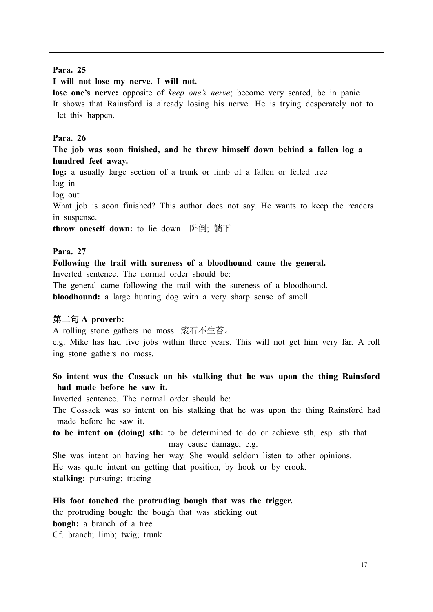## **Para. 25**

## **I will not lose my nerve. I will not.**

**lose one's nerve:** opposite of *keep one's nerve*; become very scared, be in panic It shows that Rainsford is already losing his nerve. He is trying desperately not to let this happen.

## **Para. 26**

## **The job was soon finished, and he threw himself down behind a fallen log a hundred feet away.**

**log:** a usually large section of a trunk or limb of a fallen or felled tree log in

log out

What job is soon finished? This author does not say. He wants to keep the readers in suspense.

**throw oneself down:** to lie down 卧倒; 躺下

## **Para. 27**

#### **Following the trail with sureness of a bloodhound came the general.**  Inverted sentence. The normal order should be:

The general came following the trail with the sureness of a bloodhound.

**bloodhound:** a large hunting dog with a very sharp sense of smell.

## 第二句 **A proverb:**

A rolling stone gathers no moss. 滚石不生苔。

e.g. Mike has had five jobs within three years. This will not get him very far. A roll ing stone gathers no moss.

## **So intent was the Cossack on his stalking that he was upon the thing Rainsford had made before he saw it.**

Inverted sentence. The normal order should be:

The Cossack was so intent on his stalking that he was upon the thing Rainsford had made before he saw it.

**to be intent on (doing) sth:** to be determined to do or achieve sth, esp. sth that may cause damage, e.g.

She was intent on having her way. She would seldom listen to other opinions. He was quite intent on getting that position, by hook or by crook. **stalking:** pursuing; tracing

**His foot touched the protruding bough that was the trigger.**  the protruding bough: the bough that was sticking out **bough:** a branch of a tree Cf. branch; limb; twig; trunk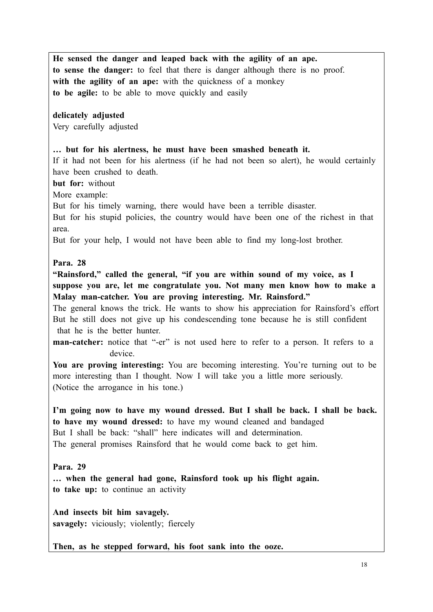**He sensed the danger and leaped back with the agility of an ape. to sense the danger:** to feel that there is danger although there is no proof. **with the agility of an ape:** with the quickness of a monkey **to be agile:** to be able to move quickly and easily

#### **delicately adjusted**

Very carefully adjusted

#### **… but for his alertness, he must have been smashed beneath it.**

If it had not been for his alertness (if he had not been so alert), he would certainly have been crushed to death.

**but for:** without

More example:

But for his timely warning, there would have been a terrible disaster.

But for his stupid policies, the country would have been one of the richest in that area.

But for your help, I would not have been able to find my long-lost brother.

#### **Para. 28**

**"Rainsford," called the general, "if you are within sound of my voice, as I suppose you are, let me congratulate you. Not many men know how to make a Malay man-catcher. You are proving interesting. Mr. Rainsford."**

The general knows the trick. He wants to show his appreciation for Rainsford's effort But he still does not give up his condescending tone because he is still confident that he is the better hunter.

**man-catcher:** notice that "-er" is not used here to refer to a person. It refers to a device.

**You are proving interesting:** You are becoming interesting. You're turning out to be more interesting than I thought. Now I will take you a little more seriously. (Notice the arrogance in his tone.)

**I'm going now to have my wound dressed. But I shall be back. I shall be back. to have my wound dressed:** to have my wound cleaned and bandaged But I shall be back: "shall" here indicates will and determination. The general promises Rainsford that he would come back to get him.

#### **Para. 29**

**… when the general had gone, Rainsford took up his flight again. to take up:** to continue an activity

**And insects bit him savagely.** savagely: viciously; violently; fiercely

**Then, as he stepped forward, his foot sank into the ooze.**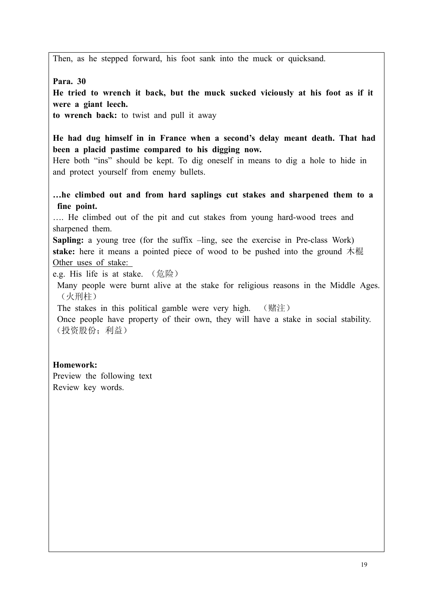Then, as he stepped forward, his foot sank into the muck or quicksand.

**Para. 30**

**He tried to wrench it back, but the muck sucked viciously at his foot as if it were a giant leech.** 

**to wrench back:** to twist and pull it away

**He had dug himself in in France when a second's delay meant death. That had been a placid pastime compared to his digging now.** 

Here both "ins" should be kept. To dig oneself in means to dig a hole to hide in and protect yourself from enemy bullets.

**…he climbed out and from hard saplings cut stakes and sharpened them to a fine point.** 

…. He climbed out of the pit and cut stakes from young hard-wood trees and sharpened them.

**Sapling:** a young tree (for the suffix –ling, see the exercise in Pre-class Work) **stake:** here it means a pointed piece of wood to be pushed into the ground 木棍 Other uses of stake:

e.g. His life is at stake. (危险)

Many people were burnt alive at the stake for religious reasons in the Middle Ages. (火刑柱)

The stakes in this political gamble were very high. (赌注)

Once people have property of their own, they will have a stake in social stability. (投资股份;利益)

## **Homework:**

Preview the following text Review key words.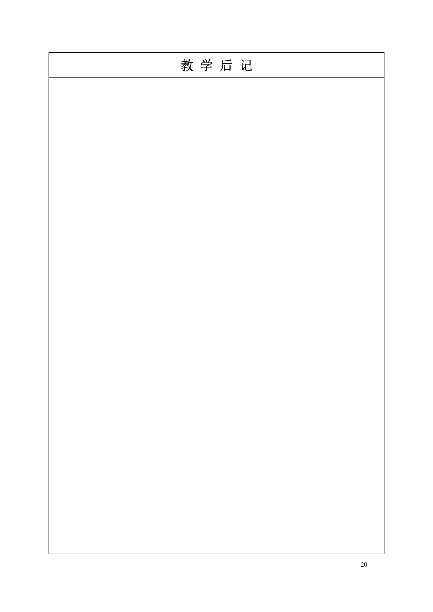| 教学后记 |
|------|
|      |
|      |
|      |
|      |
|      |
|      |
|      |
|      |
|      |
|      |
|      |
|      |
|      |
|      |
|      |
|      |
|      |
|      |
|      |
|      |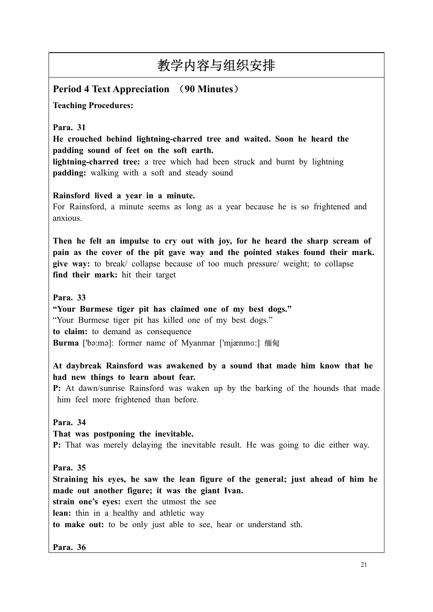# **Period 4 Text Appreciation** (**90 Minutes**)

**Teaching Procedures:**

**Para. 31**

**He crouched behind lightning-charred tree and waited. Soon he heard the padding sound of feet on the soft earth.** 

**lightning-charred tree:** a tree which had been struck and burnt by lightning **padding:** walking with a soft and steady sound

**Rainsford lived a year in a minute.** 

For Rainsford, a minute seems as long as a year because he is so frightened and anxious.

**Then he felt an impulse to cry out with joy, for he heard the sharp scream of pain as the cover of the pit gave way and the pointed stakes found their mark. give way:** to break/ collapse because of too much pressure/ weight; to collapse **find their mark:** hit their target

**Para. 33**

**"Your Burmese tiger pit has claimed one of my best dogs."** "Your Burmese tiger pit has killed one of my best dogs." **to claim:** to demand as consequence **Burma** ['bəːmə]: former name of Myanmar ['mjænma:] 缅甸

**At daybreak Rainsford was awakened by a sound that made him know that he had new things to learn about fear.** 

**P:** At dawn/sunrise Rainsford was waken up by the barking of the hounds that made him feel more frightened than before.

**Para. 34**

**That was postponing the inevitable.** 

**P:** That was merely delaying the inevitable result. He was going to die either way.

**Para. 35**

**Straining his eyes, he saw the lean figure of the general; just ahead of him he made out another figure; it was the giant Ivan.** 

**strain one's eyes:** exert the utmost the see

**lean:** thin in a healthy and athletic way

**to make out:** to be only just able to see, hear or understand sth.

**Para. 36**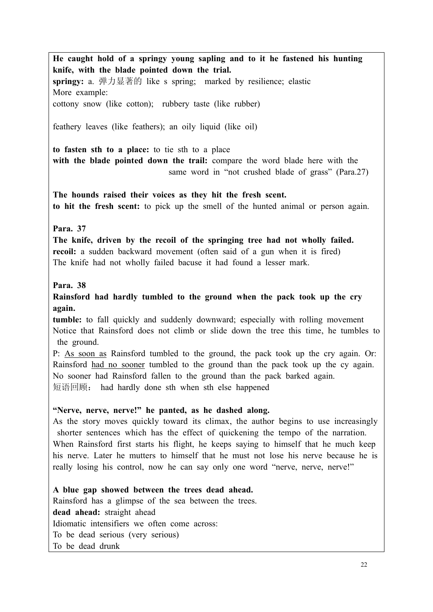**He caught hold of a springy young sapling and to it he fastened his hunting knife, with the blade pointed down the trial. springy:** a. 弹力显著的 like s spring; marked by resilience; elastic More example: cottony snow (like cotton); rubbery taste (like rubber) feathery leaves (like feathers); an oily liquid (like oil) **to fasten sth to a place:** to tie sth to a place **with the blade pointed down the trail:** compare the word blade here with the same word in "not crushed blade of grass" (Para.27) **The hounds raised their voices as they hit the fresh scent. to hit the fresh scent:** to pick up the smell of the hunted animal or person again. **Para. 37 The knife, driven by the recoil of the springing tree had not wholly failed. recoil:** a sudden backward movement (often said of a gun when it is fired) The knife had not wholly failed bacuse it had found a lesser mark. **Para. 38 Rainsford had hardly tumbled to the ground when the pack took up the cry again. tumble:** to fall quickly and suddenly downward; especially with rolling movement Notice that Rainsford does not climb or slide down the tree this time, he tumbles to the ground. P: As soon as Rainsford tumbled to the ground, the pack took up the cry again. Or: Rainsford had no sooner tumbled to the ground than the pack took up the cy again. No sooner had Rainsford fallen to the ground than the pack barked again. 短语回顾: had hardly done sth when sth else happened **"Nerve, nerve, nerve!" he panted, as he dashed along.**  As the story moves quickly toward its climax, the author begins to use increasingly shorter sentences which has the effect of quickening the tempo of the narration. When Rainsford first starts his flight, he keeps saying to himself that he much keep his nerve. Later he mutters to himself that he must not lose his nerve because he is really losing his control, now he can say only one word "nerve, nerve, nerve!" **A blue gap showed between the trees dead ahead.**  Rainsford has a glimpse of the sea between the trees. **dead ahead:** straight ahead Idiomatic intensifiers we often come across: To be dead serious (very serious)

To be dead drunk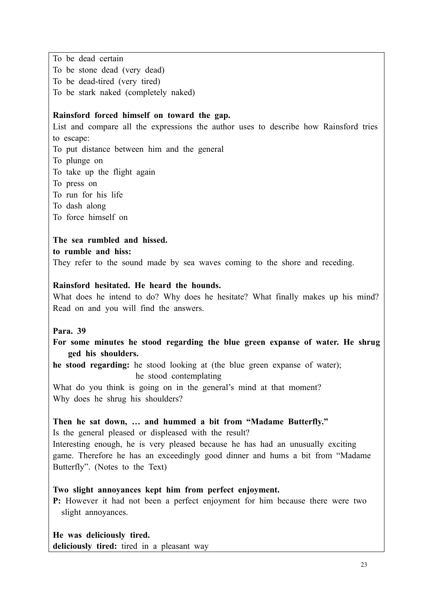To be dead certain To be stone dead (very dead) To be dead-tired (very tired) To be stark naked (completely naked)

#### **Rainsford forced himself on toward the gap.**

List and compare all the expressions the author uses to describe how Rainsford tries to escape: To put distance between him and the general To plunge on To take up the flight again To press on To run for his life To dash along To force himself on

**The sea rumbled and hissed. to rumble and hiss:**  They refer to the sound made by sea waves coming to the shore and receding.

#### **Rainsford hesitated. He heard the hounds.**

What does he intend to do? Why does he hesitate? What finally makes up his mind? Read on and you will find the answers.

#### **Para. 39**

**For some minutes he stood regarding the blue green expanse of water. He shrug ged his shoulders.** 

**he stood regarding:** he stood looking at (the blue green expanse of water); he stood contemplating

What do you think is going on in the general's mind at that moment? Why does he shrug his shoulders?

## **Then he sat down, … and hummed a bit from "Madame Butterfly."**

Is the general pleased or displeased with the result? Interesting enough, he is very pleased because he has had an unusually exciting game. Therefore he has an exceedingly good dinner and hums a bit from "Madame Butterfly". (Notes to the Text)

#### **Two slight annoyances kept him from perfect enjoyment.**

**P:** However it had not been a perfect enjoyment for him because there were two slight annoyances.

**He was deliciously tired. deliciously tired:** tired in a pleasant way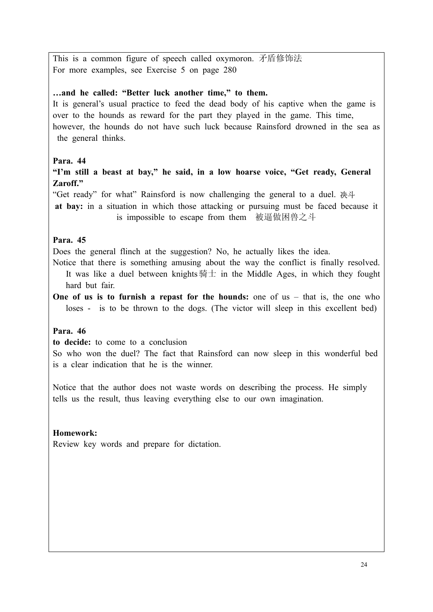This is a common figure of speech called oxymoron. 矛盾修饰法 For more examples, see Exercise 5 on page 280

#### **…and he called: "Better luck another time," to them.**

It is general's usual practice to feed the dead body of his captive when the game is over to the hounds as reward for the part they played in the game. This time, however, the hounds do not have such luck because Rainsford drowned in the sea as the general thinks.

## **Para. 44**

**"I'm still a beast at bay," he said, in a low hoarse voice, "Get ready, General Zaroff."**

"Get ready" for what" Rainsford is now challenging the general to a duel. 决斗

**at bay:** in a situation in which those attacking or pursuing must be faced because it is impossible to escape from them 被逼做困兽之斗

#### **Para. 45**

Does the general flinch at the suggestion? No, he actually likes the idea.

Notice that there is something amusing about the way the conflict is finally resolved. It was like a duel between knights  $\frac{1}{2}$  in the Middle Ages, in which they fought hard but fair.

**One of us is to furnish a repast for the hounds:** one of us – that is, the one who loses - is to be thrown to the dogs. (The victor will sleep in this excellent bed)

## **Para. 46**

**to decide:** to come to a conclusion

So who won the duel? The fact that Rainsford can now sleep in this wonderful bed is a clear indication that he is the winner.

Notice that the author does not waste words on describing the process. He simply tells us the result, thus leaving everything else to our own imagination.

## **Homework:**

Review key words and prepare for dictation.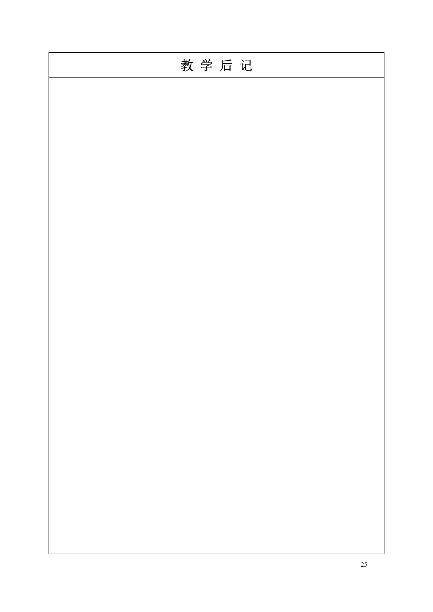| 教学后记 |
|------|
|      |
|      |
|      |
|      |
|      |
|      |
|      |
|      |
|      |
|      |
|      |
|      |
|      |
|      |
|      |
|      |
|      |
|      |
|      |
|      |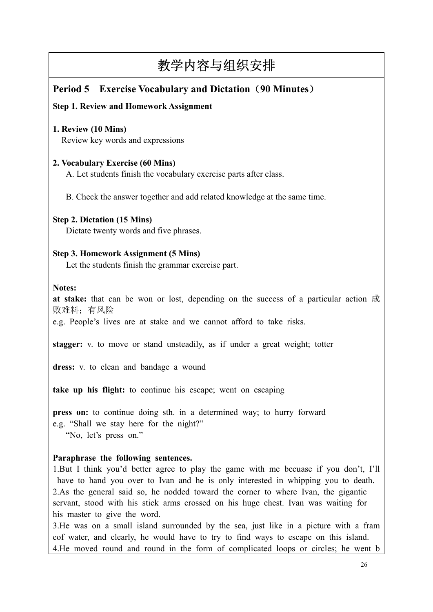# **Period 5 Exercise Vocabulary and Dictation**(**90 Minutes**)

## **Step 1. Review and Homework Assignment**

## **1. Review (10 Mins)** Review key words and expressions

## **2. Vocabulary Exercise (60 Mins)**

A. Let students finish the vocabulary exercise parts after class.

B. Check the answer together and add related knowledge at the same time.

#### **Step 2. Dictation (15 Mins)**

Dictate twenty words and five phrases.

## **Step 3. Homework Assignment (5 Mins)**

Let the students finish the grammar exercise part.

#### **Notes:**

**at stake:** that can be won or lost, depending on the success of a particular action 成 败难料;有风险

e.g. People's lives are at stake and we cannot afford to take risks.

**stagger:** v. to move or stand unsteadily, as if under a great weight; totter

**dress:** v. to clean and bandage a wound

**take up his flight:** to continue his escape; went on escaping

**press on:** to continue doing sth. in a determined way; to hurry forward e.g. "Shall we stay here for the night?" "No, let's press on."

## **Paraphrase the following sentences.**

1.But I think you'd better agree to play the game with me becuase if you don't, I'll have to hand you over to Ivan and he is only interested in whipping you to death. 2.As the general said so, he nodded toward the corner to where Ivan, the gigantic servant, stood with his stick arms crossed on his huge chest. Ivan was waiting for his master to give the word.

3.He was on a small island surrounded by the sea, just like in a picture with a fram eof water, and clearly, he would have to try to find ways to escape on this island. 4.He moved round and round in the form of complicated loops or circles; he went b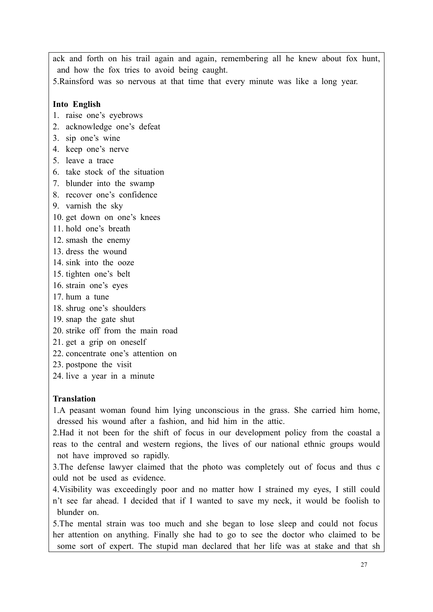ack and forth on his trail again and again, remembering all he knew about fox hunt, and how the fox tries to avoid being caught.

5.Rainsford was so nervous at that time that every minute was like a long year.

#### **Into English**

- 1. raise one's eyebrows
- 2. acknowledge one's defeat
- 3. sip one's wine
- 4. keep one's nerve
- 5. leave a trace
- 6. take stock of the situation
- 7. blunder into the swamp
- 8. recover one's confidence
- 9. varnish the sky
- 10. get down on one's knees
- 11. hold one's breath
- 12. smash the enemy
- 13. dress the wound
- 14. sink into the ooze
- 15. tighten one's belt
- 16. strain one's eyes
- 17. hum a tune
- 18. shrug one's shoulders
- 19. snap the gate shut
- 20. strike off from the main road
- 21. get a grip on oneself
- 22. concentrate one's attention on
- 23. postpone the visit
- 24. live a year in a minute

#### **Translation**

1.A peasant woman found him lying unconscious in the grass. She carried him home, dressed his wound after a fashion, and hid him in the attic.

2.Had it not been for the shift of focus in our development policy from the coastal a reas to the central and western regions, the lives of our national ethnic groups would not have improved so rapidly.

3.The defense lawyer claimed that the photo was completely out of focus and thus c ould not be used as evidence.

4.Visibility was exceedingly poor and no matter how I strained my eyes, I still could n't see far ahead. I decided that if I wanted to save my neck, it would be foolish to blunder on.

5.The mental strain was too much and she began to lose sleep and could not focus her attention on anything. Finally she had to go to see the doctor who claimed to be some sort of expert. The stupid man declared that her life was at stake and that sh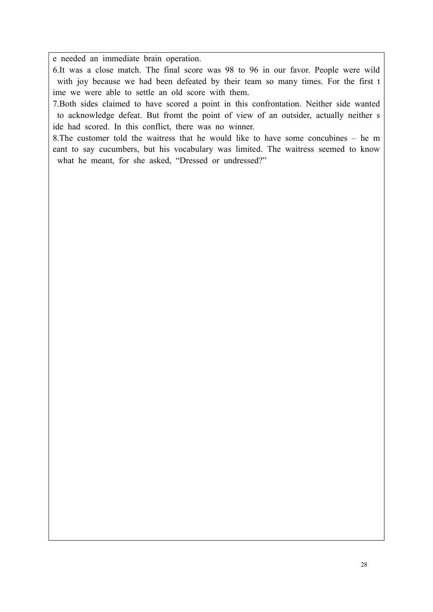e needed an immediate brain operation.

6.It was a close match. The final score was 98 to 96 in our favor. People were wild with joy because we had been defeated by their team so many times. For the first t ime we were able to settle an old score with them.

7.Both sides claimed to have scored a point in this confrontation. Neither side wanted to acknowledge defeat. But fromt the point of view of an outsider, actually neither s ide had scored. In this conflict, there was no winner.

8.The customer told the waitress that he would like to have some concubines – he m eant to say cucumbers, but his vocabulary was limited. The waitress seemed to know what he meant, for she asked, "Dressed or undressed?"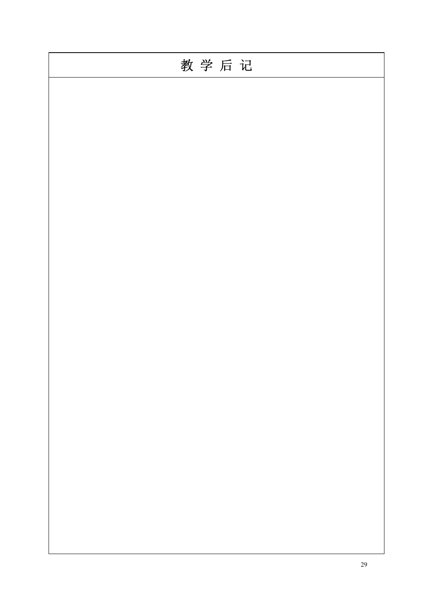| 教学后记 |
|------|
|      |
|      |
|      |
|      |
|      |
|      |
|      |
|      |
|      |
|      |
|      |
|      |
|      |
|      |
|      |
|      |
|      |
|      |
|      |
|      |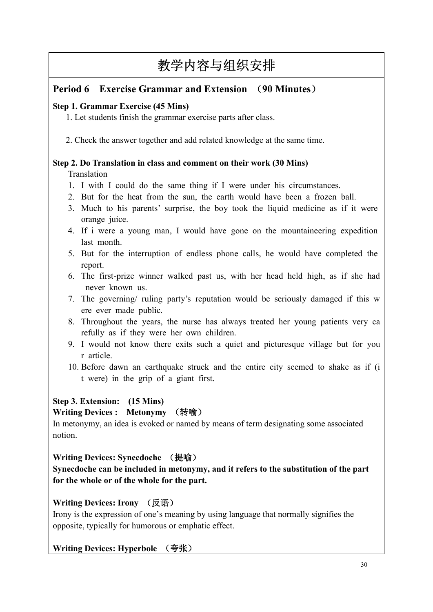# **Period 6 Exercise Grammar and Extension** (**90 Minutes**)

## **Step 1. Grammar Exercise (45 Mins)**

1. Let students finish the grammar exercise parts after class.

2. Check the answer together and add related knowledge at the same time.

## **Step 2. Do Translation in class and comment on their work (30 Mins)**

## **Translation**

- 1. I with I could do the same thing if I were under his circumstances.
- 2. But for the heat from the sun, the earth would have been a frozen ball.
- 3. Much to his parents' surprise, the boy took the liquid medicine as if it were orange juice.
- 4. If i were a young man, I would have gone on the mountaineering expedition last month.
- 5. But for the interruption of endless phone calls, he would have completed the report.
- 6. The first-prize winner walked past us, with her head held high, as if she had never known us.
- 7. The governing/ ruling party's reputation would be seriously damaged if this w ere ever made public.
- 8. Throughout the years, the nurse has always treated her young patients very ca refully as if they were her own children.
- 9. I would not know there exits such a quiet and picturesque village but for you r article.
- 10. Before dawn an earthquake struck and the entire city seemed to shake as if (i t were) in the grip of a giant first.

## **Step 3. Extension: (15 Mins)**

## **Writing Devices : Metonymy** (转喻)

In metonymy, an idea is evoked or named by means of term designating some associated notion.

## **Writing Devices: Synecdoche** (提喻)

**Synecdoche can be included in metonymy, and it refers to the substitution of the part for the whole or of the whole for the part.**

# **Writing Devices: Irony** (反语)

Irony is the expression of one's meaning by using language that normally signifies the opposite, typically for humorous or emphatic effect.

## **Writing Devices: Hyperbole** (夸张)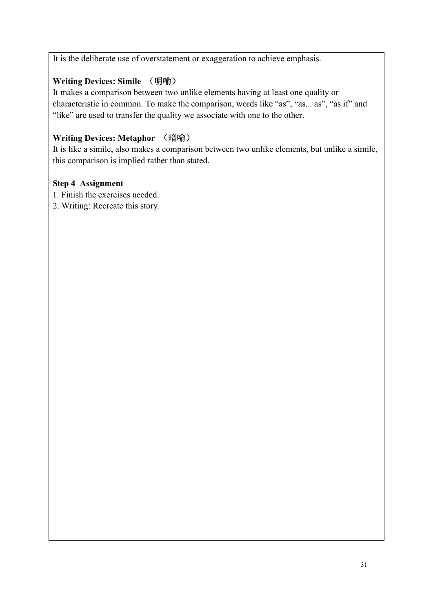It is the deliberate use of overstatement or exaggeration to achieve emphasis.

## **Writing Devices: Simile** (明喻)

It makes a comparison between two unlike elements having at least one quality or characteristic in common. To make the comparison, words like "as", "as... as", "as if" and "like" are used to transfer the quality we associate with one to the other.

# **Writing Devices: Metaphor** (暗喻)

It is like a simile, also makes a comparison between two unlike elements, but unlike a simile, this comparison is implied rather than stated.

## **Step 4 Assignment**

- 1. Finish the exercises needed.
- 2. Writing: Recreate this story.